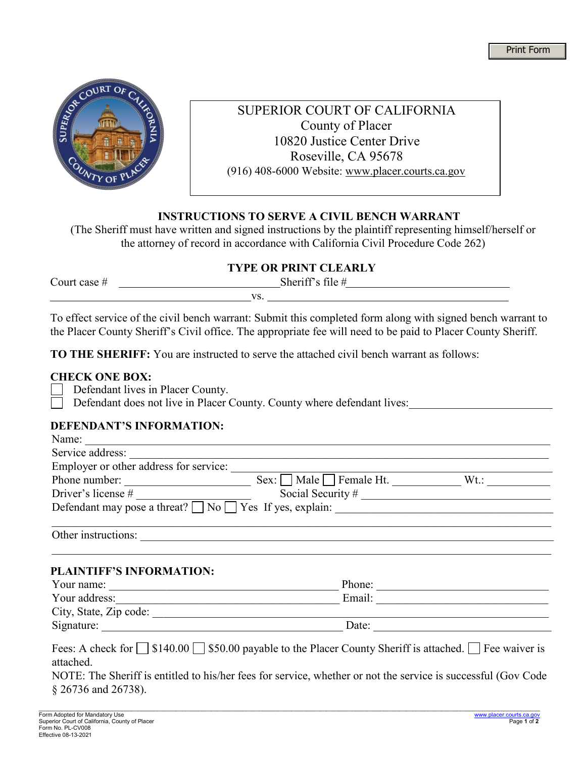Print Form



# SUPERIOR COURT OF CALIFORNIA County of Placer 10820 Justice Center Drive Roseville, CA 95678 (916) 408-6000 Website: [www.placer.courts.ca.gov](http://www.placer.courts.ca.gov/)

## **INSTRUCTIONS TO SERVE A CIVIL BENCH WARRANT**

(The Sheriff must have written and signed instructions by the plaintiff representing himself/herself or the attorney of record in accordance with California Civil Procedure Code 262)

## **TYPE OR PRINT CLEARLY**

Court case # Sheriff's file # vs.

To effect service of the civil bench warrant: Submit this completed form along with signed bench warrant to the Placer County Sheriff's Civil office. The appropriate fee will need to be paid to Placer County Sheriff.

**TO THE SHERIFF:** You are instructed to serve the attached civil bench warrant as follows:

#### **CHECK ONE BOX:**

Defendant lives in Placer County.

Defendant does not live in Placer County. County where defendant lives:

#### **DEFENDANT'S INFORMATION:**

| Name:                                  |                                                                                                                                  |         |
|----------------------------------------|----------------------------------------------------------------------------------------------------------------------------------|---------|
| Service address:                       |                                                                                                                                  |         |
| Employer or other address for service: |                                                                                                                                  |         |
| Phone number:                          | $Sex: \Box$ Male $\Box$ Female Ht.                                                                                               | $Wt$ .: |
|                                        |                                                                                                                                  |         |
|                                        | Driver's license #<br>Defendant may pose a threat? $\Box$ No $\Box$ Yes If yes, explain:                                         |         |
| Other instructions:                    |                                                                                                                                  |         |
| <b>PLAINTIFF'S INFORMATION:</b>        |                                                                                                                                  |         |
| Your name:                             | Phone:                                                                                                                           |         |
| Your address:                          | Email:<br><u> Alexandria (Carlo Carlo Carlo Carlo Carlo Carlo Carlo Carlo Carlo Carlo Carlo Carlo Carlo Carlo Carlo Carlo Ca</u> |         |
|                                        |                                                                                                                                  |         |
| Signature:                             | Date:                                                                                                                            |         |
| attached.                              | Fees: A check for $\Box$ \$140.00 $\Box$ \$50.00 payable to the Placer County Sheriff is attached. $\Box$ Fee waiver is          |         |

NOTE: The Sheriff is entitled to his/her fees for service, whether or not the service is successful (Gov Code § 26736 and 26738).

 $\mathcal{L}_\text{G} = \mathcal{L}_\text{G} = \mathcal{L}_\text{G} = \mathcal{L}_\text{G} = \mathcal{L}_\text{G} = \mathcal{L}_\text{G} = \mathcal{L}_\text{G} = \mathcal{L}_\text{G} = \mathcal{L}_\text{G} = \mathcal{L}_\text{G} = \mathcal{L}_\text{G} = \mathcal{L}_\text{G} = \mathcal{L}_\text{G} = \mathcal{L}_\text{G} = \mathcal{L}_\text{G} = \mathcal{L}_\text{G} = \mathcal{L}_\text{G} = \mathcal{L}_\text{G} = \mathcal{$